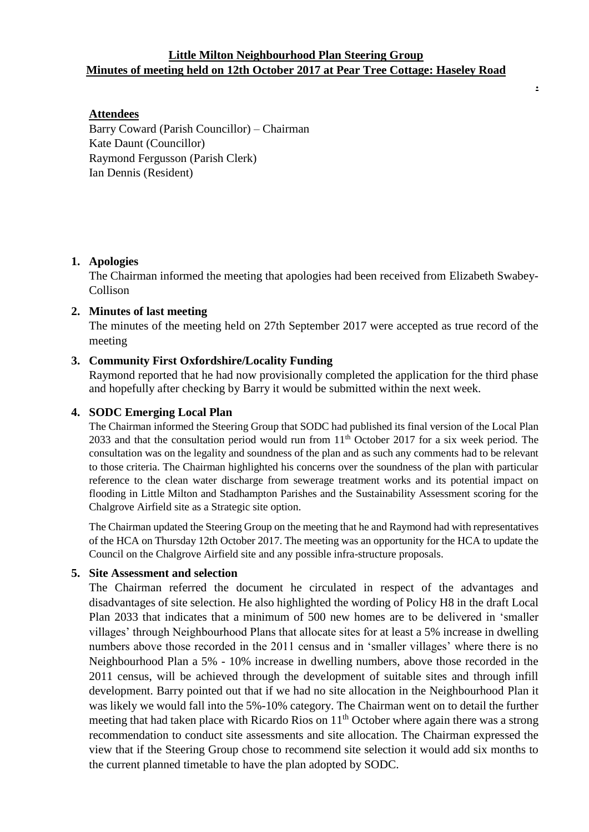## **Little Milton Neighbourhood Plan Steering Group Minutes of meeting held on 12th October 2017 at Pear Tree Cottage: Haseley Road**

**.**

## **Attendees**

Barry Coward (Parish Councillor) – Chairman Kate Daunt (Councillor) Raymond Fergusson (Parish Clerk) Ian Dennis (Resident)

### **1. Apologies**

The Chairman informed the meeting that apologies had been received from Elizabeth Swabey-Collison

#### **2. Minutes of last meeting**

The minutes of the meeting held on 27th September 2017 were accepted as true record of the meeting

### **3. Community First Oxfordshire/Locality Funding**

Raymond reported that he had now provisionally completed the application for the third phase and hopefully after checking by Barry it would be submitted within the next week.

#### **4. SODC Emerging Local Plan**

The Chairman informed the Steering Group that SODC had published its final version of the Local Plan 2033 and that the consultation period would run from  $11<sup>th</sup>$  October 2017 for a six week period. The consultation was on the legality and soundness of the plan and as such any comments had to be relevant to those criteria. The Chairman highlighted his concerns over the soundness of the plan with particular reference to the clean water discharge from sewerage treatment works and its potential impact on flooding in Little Milton and Stadhampton Parishes and the Sustainability Assessment scoring for the Chalgrove Airfield site as a Strategic site option.

The Chairman updated the Steering Group on the meeting that he and Raymond had with representatives of the HCA on Thursday 12th October 2017. The meeting was an opportunity for the HCA to update the Council on the Chalgrove Airfield site and any possible infra-structure proposals.

#### **5. Site Assessment and selection**

The Chairman referred the document he circulated in respect of the advantages and disadvantages of site selection. He also highlighted the wording of Policy H8 in the draft Local Plan 2033 that indicates that a minimum of 500 new homes are to be delivered in 'smaller villages' through Neighbourhood Plans that allocate sites for at least a 5% increase in dwelling numbers above those recorded in the 2011 census and in 'smaller villages' where there is no Neighbourhood Plan a 5% - 10% increase in dwelling numbers, above those recorded in the 2011 census, will be achieved through the development of suitable sites and through infill development. Barry pointed out that if we had no site allocation in the Neighbourhood Plan it was likely we would fall into the 5%-10% category. The Chairman went on to detail the further meeting that had taken place with Ricardo Rios on 11<sup>th</sup> October where again there was a strong recommendation to conduct site assessments and site allocation. The Chairman expressed the view that if the Steering Group chose to recommend site selection it would add six months to the current planned timetable to have the plan adopted by SODC.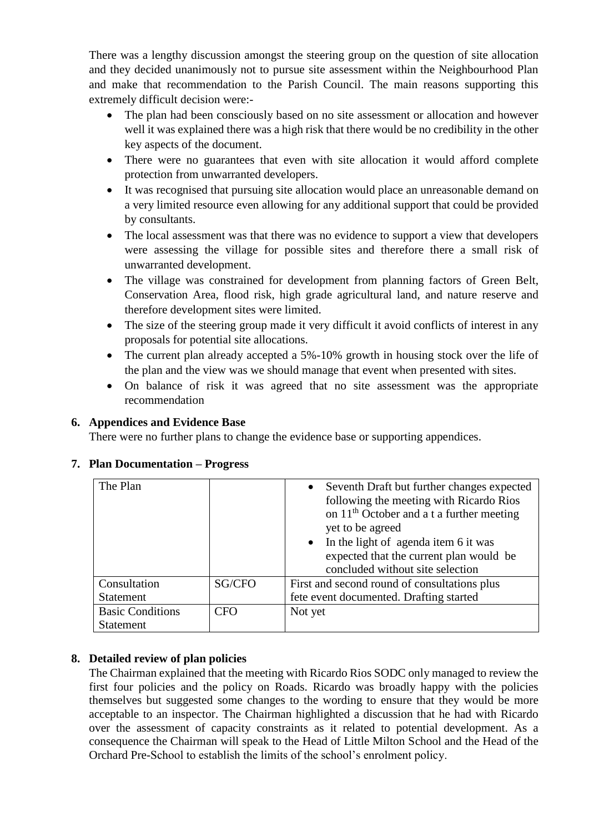There was a lengthy discussion amongst the steering group on the question of site allocation and they decided unanimously not to pursue site assessment within the Neighbourhood Plan and make that recommendation to the Parish Council. The main reasons supporting this extremely difficult decision were:-

- The plan had been consciously based on no site assessment or allocation and however well it was explained there was a high risk that there would be no credibility in the other key aspects of the document.
- There were no guarantees that even with site allocation it would afford complete protection from unwarranted developers.
- It was recognised that pursuing site allocation would place an unreasonable demand on a very limited resource even allowing for any additional support that could be provided by consultants.
- The local assessment was that there was no evidence to support a view that developers were assessing the village for possible sites and therefore there a small risk of unwarranted development.
- The village was constrained for development from planning factors of Green Belt, Conservation Area, flood risk, high grade agricultural land, and nature reserve and therefore development sites were limited.
- The size of the steering group made it very difficult it avoid conflicts of interest in any proposals for potential site allocations.
- The current plan already accepted a 5%-10% growth in housing stock over the life of the plan and the view was we should manage that event when presented with sites.
- On balance of risk it was agreed that no site assessment was the appropriate recommendation

# **6. Appendices and Evidence Base**

There were no further plans to change the evidence base or supporting appendices.

| The Plan                                    |        | Seventh Draft but further changes expected<br>$\bullet$<br>following the meeting with Ricardo Rios<br>on 11 <sup>th</sup> October and a t a further meeting<br>yet to be agreed<br>In the light of agenda item 6 it was<br>$\bullet$ |
|---------------------------------------------|--------|--------------------------------------------------------------------------------------------------------------------------------------------------------------------------------------------------------------------------------------|
|                                             |        | expected that the current plan would be<br>concluded without site selection                                                                                                                                                          |
| Consultation                                | SG/CFO | First and second round of consultations plus                                                                                                                                                                                         |
| <b>Statement</b>                            |        | fete event documented. Drafting started                                                                                                                                                                                              |
| <b>Basic Conditions</b><br><b>Statement</b> | CFO    | Not yet                                                                                                                                                                                                                              |

# **7. Plan Documentation – Progress**

# **8. Detailed review of plan policies**

The Chairman explained that the meeting with Ricardo Rios SODC only managed to review the first four policies and the policy on Roads. Ricardo was broadly happy with the policies themselves but suggested some changes to the wording to ensure that they would be more acceptable to an inspector. The Chairman highlighted a discussion that he had with Ricardo over the assessment of capacity constraints as it related to potential development. As a consequence the Chairman will speak to the Head of Little Milton School and the Head of the Orchard Pre-School to establish the limits of the school's enrolment policy.